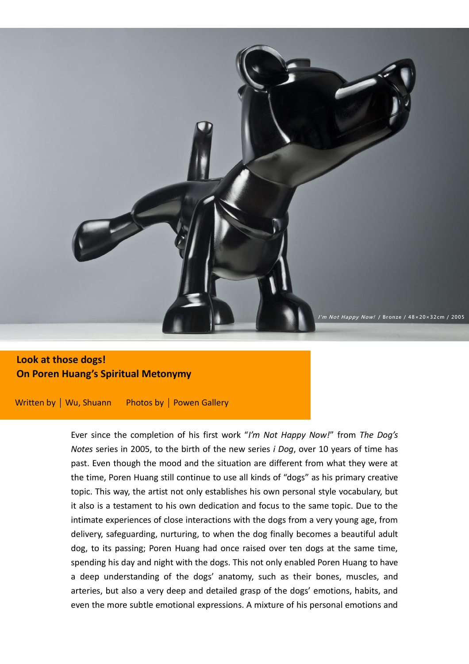

# **Look at those dogs! Look at those dogs! On Poren Huang's Spiritual Metonymy On Poren Huang's Spiritual Metonymy**

Written by | Wu, Shuann Photos by | Powen Gallery

Ever since the completion of his first work "*I'm Not Happy Now!*" from *The Dog's Notes* series in 2005, to the birth of the new series *i Dog*, over 10 years of time has past. Even though the mood and the situation are different from what they were at the time, Poren Huang still continue to use all kinds of "dogs" as his primary creative topic. This way, the artist not only establishes his own personal style vocabulary, but it also is a testament to his own dedication and focus to the same topic. Due to the intimate experiences of close interactions with the dogs from a very young age, from delivery, safeguarding, nurturing, to when the dog finally becomes a beautiful adult dog, to its passing; Poren Huang had once raised over ten dogs at the same time, spending his day and night with the dogs. This not only enabled Poren Huang to have a deep understanding of the dogs' anatomy, such as their bones, muscles, and arteries, but also a very deep and detailed grasp of the dogs' emotions, habits, and even the more subtle emotional expressions. A mixture of his personal emotions and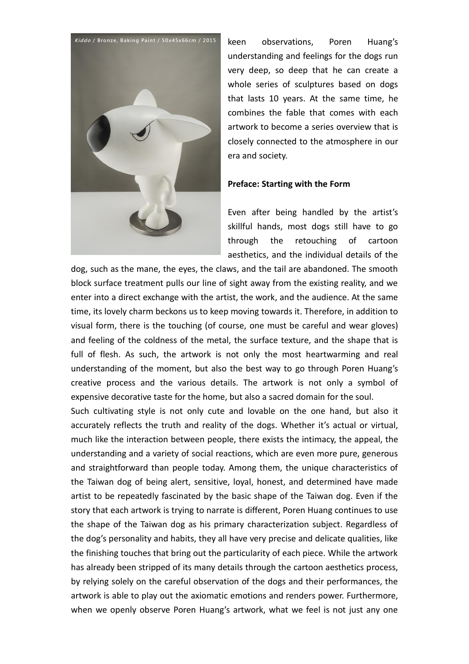

keen observations, Poren Huang's understanding and feelings for the dogs run very deep, so deep that he can create a whole series of sculptures based on dogs that lasts 10 years. At the same time, he combines the fable that comes with each artwork to become a series overview that is closely connected to the atmosphere in our era and society.

#### **Preface: Starting with the Form**

Even after being handled by the artist's skillful hands, most dogs still have to go through the retouching of cartoon aesthetics, and the individual details of the

dog, such as the mane, the eyes, the claws, and the tail are abandoned. The smooth block surface treatment pulls our line of sight away from the existing reality, and we enter into a direct exchange with the artist, the work, and the audience. At the same time, its lovely charm beckons us to keep moving towards it. Therefore, in addition to visual form, there is the touching (of course, one must be careful and wear gloves) and feeling of the coldness of the metal, the surface texture, and the shape that is full of flesh. As such, the artwork is not only the most heartwarming and real understanding of the moment, but also the best way to go through Poren Huang's creative process and the various details. The artwork is not only a symbol of expensive decorative taste for the home, but also a sacred domain for the soul.

Such cultivating style is not only cute and lovable on the one hand, but also it accurately reflects the truth and reality of the dogs. Whether it's actual or virtual, much like the interaction between people, there exists the intimacy, the appeal, the understanding and a variety of social reactions, which are even more pure, generous and straightforward than people today. Among them, the unique characteristics of the Taiwan dog of being alert, sensitive, loyal, honest, and determined have made artist to be repeatedly fascinated by the basic shape of the Taiwan dog. Even if the story that each artwork is trying to narrate is different, Poren Huang continues to use the shape of the Taiwan dog as his primary characterization subject. Regardless of the dog's personality and habits, they all have very precise and delicate qualities, like the finishing touches that bring out the particularity of each piece. While the artwork has already been stripped of its many details through the cartoon aesthetics process, by relying solely on the careful observation of the dogs and their performances, the artwork is able to play out the axiomatic emotions and renders power. Furthermore, when we openly observe Poren Huang's artwork, what we feel is not just any one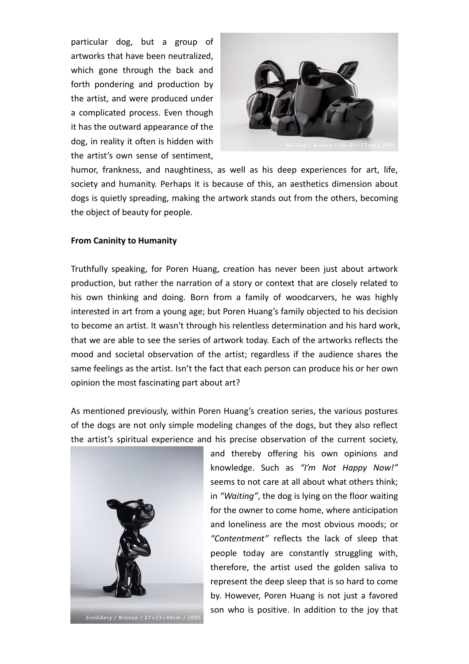particular dog, but a group of artworks that have been neutralized, which gone through the back and forth pondering and production by the artist, and were produced under a complicated process. Even though it has the outward appearance of the dog, in reality it often is hidden with the artist's own sense of sentiment,



humor, frankness, and naughtiness, as well as his deep experiences for art, life, society and humanity. Perhaps it is because of this, an aesthetics dimension about dogs is quietly spreading, making the artwork stands out from the others, becoming the object of beauty for people.

#### **From Caninity to Humanity**

Truthfully speaking, for Poren Huang, creation has never been just about artwork production, but rather the narration of a story or context that are closely related to his own thinking and doing. Born from a family of woodcarvers, he was highly interested in art from a young age; but Poren Huang's family objected to his decision to become an artist. It wasn't through his relentless determination and his hard work, that we are able to see the series of artwork today. Each of the artworks reflects the mood and societal observation of the artist; regardless if the audience shares the same feelings as the artist. Isn't the fact that each person can produce his or her own opinion the most fascinating part about art?

As mentioned previously, within Poren Huang's creation series, the various postures of the dogs are not only simple modeling changes of the dogs, but they also reflect the artist's spiritual experience and his precise observation of the current society,



and thereby offering his own opinions and knowledge. Such as *"I'm Not Happy Now!"* seems to not care at all about what others think; in *"Waiting"*, the dog is lying on the floor waiting for the owner to come home, where anticipation and loneliness are the most obvious moods; or *"Contentment"* reflects the lack of sleep that people today are constantly struggling with, therefore, the artist used the golden saliva to represent the deep sleep that is so hard to come by. However, Poren Huang is not just a favored son who is positive. In addition to the joy that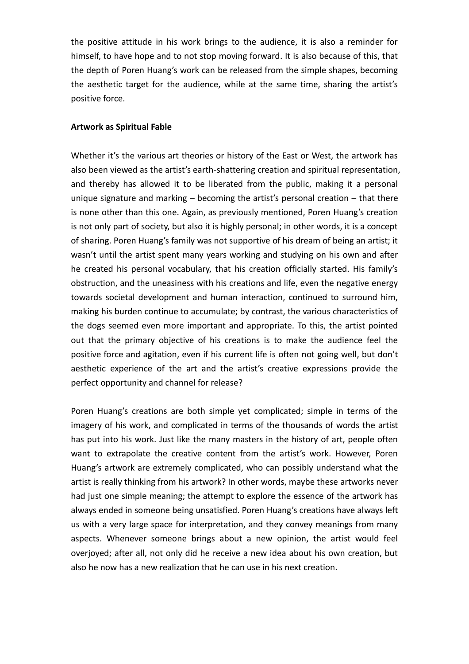the positive attitude in his work brings to the audience, it is also a reminder for himself, to have hope and to not stop moving forward. It is also because of this, that the depth of Poren Huang's work can be released from the simple shapes, becoming the aesthetic target for the audience, while at the same time, sharing the artist's positive force.

#### **Artwork as Spiritual Fable**

Whether it's the various art theories or history of the East or West, the artwork has also been viewed as the artist's earth-shattering creation and spiritual representation, and thereby has allowed it to be liberated from the public, making it a personal unique signature and marking – becoming the artist's personal creation – that there is none other than this one. Again, as previously mentioned, Poren Huang's creation is not only part of society, but also it is highly personal; in other words, it is a concept of sharing. Poren Huang's family was not supportive of his dream of being an artist; it wasn't until the artist spent many years working and studying on his own and after he created his personal vocabulary, that his creation officially started. His family's obstruction, and the uneasiness with his creations and life, even the negative energy towards societal development and human interaction, continued to surround him, making his burden continue to accumulate; by contrast, the various characteristics of the dogs seemed even more important and appropriate. To this, the artist pointed out that the primary objective of his creations is to make the audience feel the positive force and agitation, even if his current life is often not going well, but don't aesthetic experience of the art and the artist's creative expressions provide the perfect opportunity and channel for release?

Poren Huang's creations are both simple yet complicated; simple in terms of the imagery of his work, and complicated in terms of the thousands of words the artist has put into his work. Just like the many masters in the history of art, people often want to extrapolate the creative content from the artist's work. However, Poren Huang's artwork are extremely complicated, who can possibly understand what the artist is really thinking from his artwork? In other words, maybe these artworks never had just one simple meaning; the attempt to explore the essence of the artwork has always ended in someone being unsatisfied. Poren Huang's creations have always left us with a very large space for interpretation, and they convey meanings from many aspects. Whenever someone brings about a new opinion, the artist would feel overjoyed; after all, not only did he receive a new idea about his own creation, but also he now has a new realization that he can use in his next creation.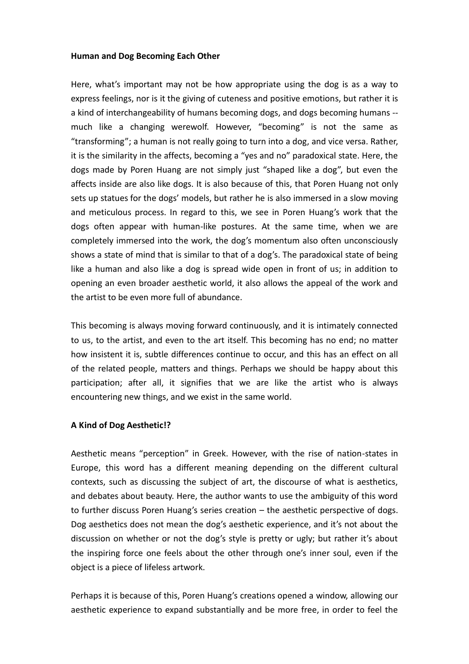## **Human and Dog Becoming Each Other**

Here, what's important may not be how appropriate using the dog is as a way to express feelings, nor is it the giving of cuteness and positive emotions, but rather it is a kind of interchangeability of humans becoming dogs, and dogs becoming humans - much like a changing werewolf. However, "becoming" is not the same as "transforming"; a human is not really going to turn into a dog, and vice versa. Rather, it is the similarity in the affects, becoming a "yes and no" paradoxical state. Here, the dogs made by Poren Huang are not simply just "shaped like a dog", but even the affects inside are also like dogs. It is also because of this, that Poren Huang not only sets up statues for the dogs' models, but rather he is also immersed in a slow moving and meticulous process. In regard to this, we see in Poren Huang's work that the dogs often appear with human-like postures. At the same time, when we are completely immersed into the work, the dog's momentum also often unconsciously shows a state of mind that is similar to that of a dog's. The paradoxical state of being like a human and also like a dog is spread wide open in front of us; in addition to opening an even broader aesthetic world, it also allows the appeal of the work and the artist to be even more full of abundance.

This becoming is always moving forward continuously, and it is intimately connected to us, to the artist, and even to the art itself. This becoming has no end; no matter how insistent it is, subtle differences continue to occur, and this has an effect on all of the related people, matters and things. Perhaps we should be happy about this participation; after all, it signifies that we are like the artist who is always encountering new things, and we exist in the same world.

# **A Kind of Dog Aesthetic!?**

Aesthetic means "perception" in Greek. However, with the rise of nation-states in Europe, this word has a different meaning depending on the different cultural contexts, such as discussing the subject of art, the discourse of what is aesthetics, and debates about beauty. Here, the author wants to use the ambiguity of this word to further discuss Poren Huang's series creation – the aesthetic perspective of dogs. Dog aesthetics does not mean the dog's aesthetic experience, and it's not about the discussion on whether or not the dog's style is pretty or ugly; but rather it's about the inspiring force one feels about the other through one's inner soul, even if the object is a piece of lifeless artwork.

Perhaps it is because of this, Poren Huang's creations opened a window, allowing our aesthetic experience to expand substantially and be more free, in order to feel the